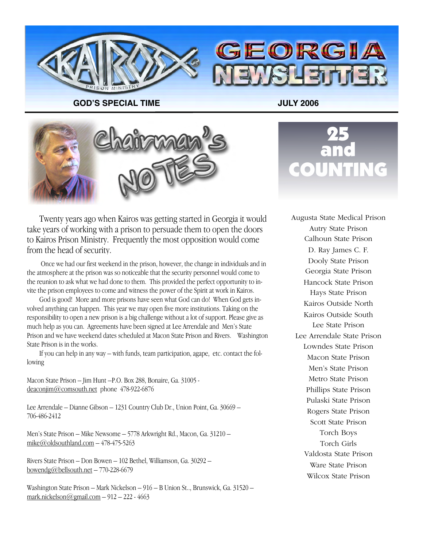

**GOD!S SPECIAL TIME JULY 2006**



Twenty years ago when Kairos was getting started in Georgia it would take years of working with a prison to persuade them to open the doors to Kairos Prison Ministry. Frequently the most opposition would come from the head of security.

 Once we had our first weekend in the prison, however, the change in individuals and in the atmosphere at the prison was so noticeable that the security personnel would come to the reunion to ask what we had done to them. This provided the perfect opportunity to invite the prison employees to come and witness the power of the Spirit at work in Kairos.

God is good! More and more prisons have seen what God can do! When God gets involved anything can happen. This year we may open five more institutions. Taking on the responsibility to open a new prison is a big challenge without a lot of support. Please give as much help as you can. Agreements have been signed at Lee Arrendale and Men's State Prison and we have weekend dates scheduled at Macon State Prison and Rivers. Washington State Prison is in the works.

If you can help in any way – with funds, team participation, agape, etc. contact the following

Macon State Prison – Jim Hunt –P.O. Box 288, Bonaire, Ga. 31005 deaconjim@comsouth.net phone 478-922-6876

Lee Arrendale – Dianne Gibson – 1231 Country Club Dr., Union Point, Ga. 30669 – 706-486-2412

Men's State Prison – Mike Newsome – 5778 Arkwright Rd., Macon, Ga. 31210 – mike@oldsouthland.com  $-478-475-5263$ 

Rivers State Prison – Don Bowen – 102 Bethel, Williamson, Ga. 30292 – bowendg@bellsouth.net  $-770-228-6679$ 

Washington State Prison – Mark Nickelson – 916 – B Union St.., Brunswick, Ga. 31520 – mark.nickelson $\omega$ gmail.com – 912 – 222 - 4663



Augusta State Medical Prison Autry State Prison Calhoun State Prison D. Ray James C. F. Dooly State Prison Georgia State Prison Hancock State Prison Hays State Prison Kairos Outside North Kairos Outside South Lee State Prison Lee Arrendale State Prison Lowndes State Prison Macon State Prison Men's State Prison Metro State Prison Phillips State Prison Pulaski State Prison Rogers State Prison Scott State Prison Torch Boys Torch Girls Valdosta State Prison Ware State Prison Wilcox State Prison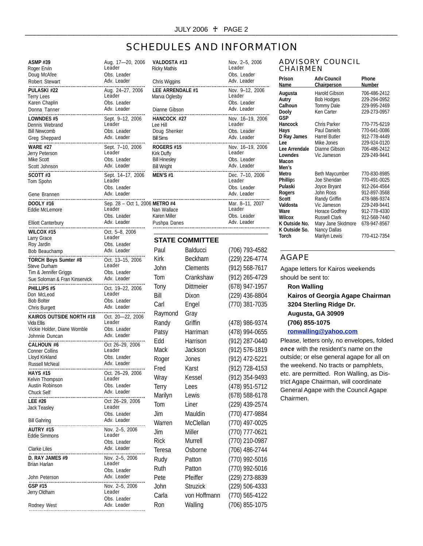### SCHEDULES AND INFORMATION

| <b>ASMP #39</b>                           | Aug. 17-20, 2006               | <b>VALDOST</b>         |
|-------------------------------------------|--------------------------------|------------------------|
| Roger Ervin                               | Leader                         | Ricky Mathis           |
| Doug McAfee                               | Obs. Leader<br>Adv. Leader     |                        |
| Robert Stewart                            |                                | Chris Wiggi            |
| PULASKI #22                               | Aug. 24-27, 2006               | <b>LEE ARRE</b>        |
| Terry Lees                                | Leader                         | Marva Ogle             |
| Karen Chaplin<br>Donna Tanner             | Obs. Leader<br>Adv. Leader     |                        |
|                                           |                                | Dianne Git             |
| LOWNDES #5                                | Sept. 9-12, 2006<br>Leader     | HANCOCK                |
| Dennis Webrand<br><b>Bill Newcomb</b>     | Obs. Leader                    | Lee Hill<br>Doug Sher  |
| Greg Sheppard                             | Adv. Leader                    | <b>Bill Sims</b>       |
|                                           |                                |                        |
| <b>WARE #27</b>                           | Sept. 7-10, 2006<br>Leader     | ROGERS #<br>Kirk Duffy |
| Jerry Peterson<br><b>Mike Scott</b>       | Obs. Leader                    | <b>Bill Hinesley</b>   |
| Scott Johnson                             | Adv. Leader                    | <b>Bill Wright</b>     |
| <br>SCOTT#3                               | Sept. 14–17, 2006              | MEN'S #1               |
| Tom Spohn                                 | Leader                         |                        |
|                                           | Obs. Leader                    |                        |
| Gene Brannen                              | Adv. Leader                    |                        |
| DOOLY #16                                 | Sep. 28 - Oct 1, 2006 METRO #4 |                        |
| Eddie McLemore                            | Leader                         | Nan Wallac             |
|                                           | Obs. Leader                    | <b>Karen Miller</b>    |
| <b>Elliott Canterbury</b><br>.<br>        | Adv. Leader                    | Pushpa Da              |
| WILCOX #15                                | Oct. 5–8, 2006                 |                        |
| Larry Grace                               | Leader                         | <b>STATE</b>           |
| Roy Jardin                                | Obs. Leader                    |                        |
| Bob Beauchamp<br>.                        | Adv. Leader                    | Paul                   |
| TORCH Boys Sumter #8                      | Oct. 13–15, 2006               | Kirk                   |
| Steve Durham                              | Leader                         | John                   |
| Tim & Jennifer Griggs                     | Obs. Leader                    | <b>Iom</b>             |
| Sue Soloman & Fran Kinservick             | Adv. Leader                    |                        |
| PHILLIPS #5                               | Oct. 19-22, 2006               | Tony                   |
| Don McLeod                                | Leader                         | Bill                   |
| <b>Bob Bolter</b>                         | Obs. Leader<br>Adv. Leader     | Carl                   |
| Chris Burgett                             |                                | Raymon                 |
| KAIROS OUTSIDE NORTH #18                  | Oct. 20-22, 2006               |                        |
| Vida Ellis<br>Vickie Holder, Diane Womble | Leader<br>Obs. Leader          | Randy                  |
| Johnnie Duncan                            | Adv. Leader                    | Patsy                  |
| .                                         |                                | Edd                    |
| CALHOUN #6<br><b>Conner Collins</b>       | Oct 26-29, 2006<br>Leader      | Mack                   |
| Lloyd Kirkland                            | Obs. Leader                    |                        |
| <b>Russell McNeal</b>                     | Adv. Leader                    | Roger                  |
| <b>HAYS #15</b>                           | Oct. 26-29, 2006               | Fred                   |
| Kelvin Thompson                           | Leader                         | Wray                   |
| Austin Robinson                           | Obs. Leader                    | Terry                  |
| Chuck Self                                | Adv. Leader                    | Marilyn                |
| LEE #26                                   | Oct 26-29, 2006                |                        |
| Jack Teasley                              | Leader                         | Tom                    |
|                                           | Obs. Leader                    | Jim                    |
| <b>Bill Gahring</b>                       | Adv. Leader                    | Warren                 |
| AUTRY #15                                 | Nov. 2-5, 2006                 | Jim                    |
| <b>Eddie Simmons</b>                      | Leader                         |                        |
|                                           | Obs. Leader                    | <b>Rick</b>            |
| Clarke Liles                              | Adv. Leader                    | Teresa                 |
| D. RAY JAMES #9                           |                                | Rudy                   |
| Brian Harlan                              | Leader                         | Ruth                   |
|                                           | Obs. Leader<br>Adv. Leader     |                        |
| John Peterson<br>                         |                                | Pete                   |
| GSP #15                                   | Nov. 2-5, 2006<br>Leader       | John                   |
| Jerry Oldham                              | Obs. Leader                    | Carla                  |
| Rodney West                               | Adv. Leader                    | Ron                    |
|                                           |                                |                        |

| VALDOSTA #13<br><b>Ricky Mathis</b> | Nov. 2-5, 2006<br>Leader<br>Obs. Leader |
|-------------------------------------|-----------------------------------------|
| Chris Wiggins                       | Adv. Leader                             |
| LEE ARRENDALE #1                    | Nov. 9-12, 2006                         |
| Marva Oglesby                       | Leader                                  |
|                                     | Obs. Leader                             |
| Dianne Gibson                       | Adv. Leader                             |
| HANCOCK #27                         | Nov. 16-19, 2006                        |
| Lee Hill                            | I eader                                 |
| Doug Shenker                        | Obs. Leader                             |
| <b>Bill Sims</b>                    | Adv. Leader                             |
| ROGERS #15                          | Nov. 16-19, 2006                        |
| Kirk Duffy                          | I eader                                 |
| <b>Bill Hinesley</b>                | Obs. Leader                             |
| <b>Bill Wright</b>                  | Adv. Leader                             |
| <br>MFN'S #1                        | Dec. 7-10, 2006<br>I eader              |
|                                     | Obs. Leader                             |
|                                     | Adv. Leader                             |
|                                     |                                         |
| METRO#4                             | Mar. 8-11, 2007                         |
| Nan Wallace                         | Leader                                  |
| Karen Miller                        | Obs. Leader                             |
| Pushpa Danes                        | Adv. Leader                             |
|                                     |                                         |

#### **STATE COMMITTEE**

| Paul        | Balducci         | (706) 793-4582 |
|-------------|------------------|----------------|
| <b>Kirk</b> | Beckham          | (229) 226-4774 |
| John        | Clements         | (912) 568-7617 |
| Tom         | Crankshaw        | (912) 265-4729 |
| Tony        | <b>Dittmeier</b> | (678) 947-1957 |
| Bill        | Dixon            | (229) 436-8804 |
| Carl        | Engel            | (770) 381-7035 |
| Raymond     | Gray             |                |
| Randy       | Griffin          | (478) 986-9374 |
| Patsy       | Harriman         | (478) 994-0655 |
| Edd         | Harrison         | (912) 287-0440 |
| Mack        | Jackson          | (912) 576-1819 |
| Roger       | Jones            | (912) 472-5221 |
| Fred        | Karst            | (912) 728-4153 |
| Wray        | Kessel           | (912) 354-9493 |
| Terry       | Lees             | (478) 951-5712 |
| Marilyn     | Lewis            | (678) 588-6178 |
| Tom         | Liner            | (229) 439-2574 |
| Jim         | Mauldin          | (770) 477-9884 |
| Warren      | McClellan        | (770) 497-0025 |
| Jim         | Miller           | (770) 777-0621 |
| <b>Rick</b> | <b>Murrell</b>   | (770) 210-0987 |
| Teresa      | Osborne          | (706) 486-2744 |
| Rudy        | Patton           | (770) 992-5016 |
| Ruth        | Patton           | (770) 992-5016 |
| Pete        | Pfeiffer         | (229) 273-8839 |
| John        | <b>Struzick</b>  | (229) 506-4333 |
| Carla       | von Hoffmann     | (770) 565-4122 |
| Ron         | Walling          | (706) 855-1075 |
|             |                  |                |

#### ADVISORY COUNCIL CHAIRMEN

| Prison<br>Name                                                                                                                    | Adv Council<br>Chairperson                                                                                                                                                                          | Phone<br>Number                                                                                                                                              |
|-----------------------------------------------------------------------------------------------------------------------------------|-----------------------------------------------------------------------------------------------------------------------------------------------------------------------------------------------------|--------------------------------------------------------------------------------------------------------------------------------------------------------------|
| Augusta<br>Autry<br>Calhoun<br>Dooly<br>GSP                                                                                       | Harold Gibson<br><b>Bob Hodges</b><br><b>Tommy Dale</b><br>Ken Carter                                                                                                                               | 706-486-2412<br>229-294-0952<br>229-995-2469<br>229-273-0957                                                                                                 |
| Hancock<br>Hays<br>D Ray James<br>l ee<br>Lee Arrendale<br>Lowndes<br>Macon                                                       | <b>Chris Parker</b><br><b>Paul Daniels</b><br><b>Harrel Butler</b><br>Mike Jones<br>Dianne Gibson<br>Vic Jameson                                                                                    | 770-775-6219<br>770-641-0086<br>912-778-4449<br>229-924-0120<br>706-486-2412<br>229-249-9441                                                                 |
| Men's<br>Metro<br>Phillips<br>Pulaski<br>Rogers<br>Scott<br>Valdosta<br>Ware<br>Wilcox<br>K Outside No.<br>K Outside So.<br>Torch | <b>Beth Maycumber</b><br>Joe Sheridan<br>Joyce Bryant<br>John Ross<br>Randy Griffin<br>Vic Jameson<br>Horace Godfrey<br><b>Russell Clark</b><br>Mary Jane Skidmore<br>Nancy Dallas<br>Marilyn Lewis | 770-830-8985<br>770-491-0025<br>912-264-4564<br>912-897-3568<br>478-986-9374<br>229-249-9441<br>912-778-4330<br>912-568-7440<br>678-947-8567<br>770-412-7354 |

#### AGAPE

Chairmen.

 $\overline{a}$ 

Agape letters for Kairos weekends should be sent to: **Ron Walling Kairos of Georgia Agape Chairman 3204 Sterling Ridge Dr. Augusta, GA 30909 (706) 855-1075 ronwalling@yahoo.com** Please, letters only, no envelopes, folded *once* with the resident's name on the outside; or else general agape for all on the weekend. No tracts or pamphlets, etc. are permitted. Ron Walling, as Dis-

trict Agape Chairman, will coordinate General Agape with the Council Agape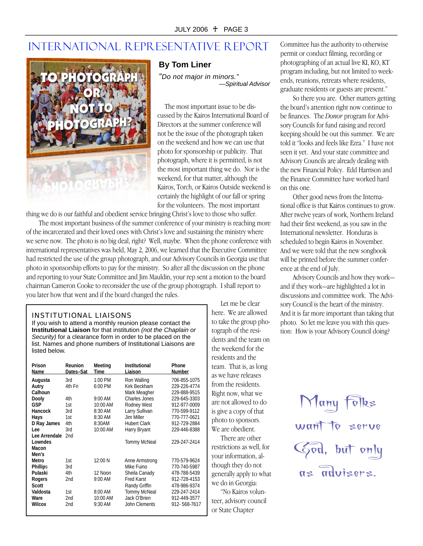## INTERNATIONAL REPRESENTATIVE REPORT



#### **By Tom Liner**

*"Do not major in minors." —Spiritual Advisor*

The most important issue to be discussed by the Kairos International Board of Directors at the summer conference will not be the issue of the photograph taken on the weekend and how we can use that photo for sponsorship or publicity. That photograph, where it is permitted, is not the most important thing we do. Nor is the weekend, for that matter, although the Kairos, Torch, or Kairos Outside weekend is certainly the highlight of our fall or spring for the volunteers. The most important

thing we do is our faithful and obedient service bringing Christ's love to those who suffer.

The most important business of the summer conference of your ministry is reaching more of the incarcerated and their loved ones with Christ's love and sustaining the ministry where we serve now. The photo is no big deal, right? Well, maybe. When the phone conference with international representatives was held, May 2, 2006, we learned that the Executive Committee had restricted the use of the group photograph, and our Advisory Councils in Georgia use that photo in sponsorship efforts to pay for the ministry. So after all the discussion on the phone and reporting to your State Committee and Jim Mauldin, your rep sent a motion to the board chairman Cameron Cooke to reconsider the use of the group photograph. I shall report to you later how that went and if the board changed the rules.

#### INSTITUTIONAL LIAISONS

If you wish to attend a monthly reunion please contact the **Institutional Liaison** for that institution *(not the Chaplain or Security)* for a clearance form in order to be placed on the list. Names and phone numbers of Institutional Liaisons are listed below.

| Prison<br>Name   | Reunion<br>Dates-Sat | Meeting<br>Time   | Institutional<br>Liaison      | Phone<br>Number              |
|------------------|----------------------|-------------------|-------------------------------|------------------------------|
| Augusta          | 3rd                  | 1:00 PM           | Ron Walling                   | 706-855-1075                 |
| Autry<br>Calhoun | 4th Fri              | 6:00 PM           | Kirk Beckham                  | 229-226-4774<br>229-888-9515 |
|                  | 4th                  | $9:00 \text{ AM}$ | Mark Meagher<br>Charles Jones | 229-645-3303                 |
| Dooly            |                      |                   |                               |                              |
| GSP              | 1st                  | 10:00 AM          | <b>Rodney West</b>            | 912-977-0009                 |
| Hancock          | 3rd                  | 8:30 AM           | Larry Sullivan                | 770-599-9112                 |
| Hays             | 1st                  | 8:30 AM           | Jim Miller                    | 770-777-0621                 |
| D Ray James      | 4th                  | 8:30AM            | <b>Hubert Clark</b>           | 912-729-2884                 |
| Lee              | 3rd                  | 10:00 AM          | Harry Bryant                  | 229-446-8388                 |
| Lee Arrendale    | 2 <sub>nd</sub>      |                   |                               |                              |
| Lowndes          |                      |                   | <b>Tommy McNeal</b>           | 229-247-2414                 |
| Macon            |                      |                   |                               |                              |
| Men's            |                      |                   |                               |                              |
| Metro            | 1st                  | 12:00 N           | Anne Armstrong                | 770-579-9624                 |
| <b>Phillips</b>  | 3rd                  |                   | Mike Fuino                    | 770-740-5987                 |
| Pulaski          | 4th                  | 12 Noon           | Sheila Canady                 | 478-788-5439                 |
| Rogers           | 2nd                  | 9:00 AM           | <b>Fred Karst</b>             | 912-728-4153                 |
| Scott            |                      |                   | Randy Griffin                 | 478-986-9374                 |
| Valdosta         | 1st                  | 8:00 AM           | <b>Tommy McNeal</b>           | 229-247-2414                 |
| Ware             | 2nd                  | 10:00 AM          | Jack O'Brien                  | 912-449-3577                 |
| Wilcox           | 2nd                  | 9:30 AM           | <b>John Clements</b>          | 912-568-7617                 |
|                  |                      |                   |                               |                              |

Let me be clear here. We are allowed to take the group photograph of the residents and the team on the weekend for the residents and the team. That is, as long as we have releases from the residents. Right now, what we are not allowed to do is give a copy of that photo to sponsors. We are obedient.

There are other restrictions as well, for your information, although they do not generally apply to what we do in Georgia:

"No Kairos volunteer, advisory council or State Chapter

Committee has the authority to otherwise permit or conduct filming, recording or photographing of an actual live KI, KO, KT program including, but not limited to weekends, reunions, retreats where residents, graduate residents or guests are present."

So there you are. Other matters getting the board's attention right now continue to be finances. The *Donor* program for Advisory Councils for fund raising and record keeping should be out this summer. We are told it "looks and feels like Ezra." I have not seen it yet. And your state committee and Advisory Councils are already dealing with the new Financial Policy. Edd Harrison and the Finance Committee have worked hard on this one.

Other good news from the International office is that Kairos continues to grow. After twelve years of work, Northern Ireland had their first weekend, as you saw in the International newsletter. Honduras is scheduled to begin Kairos in November. And we were told that the new songbook will be printed before the summer conference at the end of July.

Advisory Councils and how they work and if they work—are highlighted a lot in discussions and committee work. The Advisory Council is the heart of the ministry. And it is far more important than taking that photo. So let me leave you with this question: How is your Advisory Council doing?

> $\vert \Upsilon \vert$ any want to serve God, but only as advisers.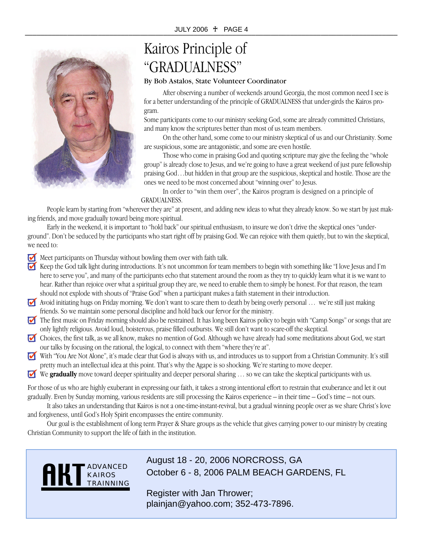

# Kairos Principle of "GRADUALNESS"

#### By Bob Astalos, State Volunteer Coordinator

After observing a number of weekends around Georgia, the most common need I see is for a better understanding of the principle of GRADUALNESS that under-girds the Kairos program.

Some participants come to our ministry seeking God, some are already committed Christians, and many know the scriptures better than most of us team members.

On the other hand, some come to our ministry skeptical of us and our Christianity. Some are suspicious, some are antagonistic, and some are even hostile.

Those who come in praising God and quoting scripture may give the feeling the "whole group" is already close to Jesus, and we're going to have a great weekend of just pure fellowship praising God…but hidden in that group are the suspicious, skeptical and hostile. Those are the ones we need to be most concerned about "winning over" to Jesus.

In order to "win them over", the Kairos program is designed on a principle of GRADUALNESS.

People learn by starting from "wherever they are" at present, and adding new ideas to what they already know. So we start by just making friends, and move gradually toward being more spiritual.

Early in the weekend, it is important to "hold back" our spiritual enthusiasm, to insure we don't drive the skeptical ones "underground". Don't be seduced by the participants who start right off by praising God. We can rejoice with them quietly, but to win the skeptical, we need to:

Meet participants on Thursday without bowling them over with faith talk.

- Keep the God talk light during introductions. It's not uncommon for team members to begin with something like "I love Jesus and I'm here to serve you", and many of the participants echo that statement around the room as they try to quickly learn what it is we want to hear. Rather than rejoice over what a spiritual group they are, we need to enable them to simply be honest. For that reason, the team should not explode with shouts of "Praise God" when a participant makes a faith statement in their introduction.
- Avoid initiating hugs on Friday morning. We don't want to scare them to death by being overly personal … we're still just making friends. So we maintain some personal discipline and hold back our fervor for the ministry.
- The first music on Friday morning should also be restrained. It has long been Kairos policy to begin with "Camp Songs" or songs that are only lightly religious. Avoid loud, boisterous, praise filled outbursts. We still don't want to scare-off the skeptical.
- Choices, the first talk, as we all know, makes no mention of God. Although we have already had some meditations about God, we start our talks by focusing on the rational, the logical, to connect with them "where they're at".
- $\blacksquare$ With "You Are Not Alone", it's made clear that God is always with us, and introduces us to support from a Christian Community. It's still pretty much an intellectual idea at this point. That's why the Agape is so shocking. We're starting to move deeper.
- We **gradually** move toward deeper spirituality and deeper personal sharing ... so we can take the skeptical participants with us.

For those of us who are highly exuberant in expressing our faith, it takes a strong intentional effort to restrain that exuberance and let it out gradually. Even by Sunday morning, various residents are still processing the Kairos experience – in their time – God's time – not ours.

It also takes an understanding that Kairos is not a one-time-instant-revival, but a gradual winning people over as we share Christ's love and forgiveness, until God's Holy Spirit encompasses the entire community.

Our goal is the establishment of long term Prayer & Share groups as the vehicle that gives carrying power to our ministry by creating Christian Community to support the life of faith in the institution.



August 18 - 20, 2006 NORCROSS, GA October 6 - 8, 2006 PALM BEACH GARDENS, FL

Register with Jan Thrower; plainjan@yahoo.com; 352-473-7896.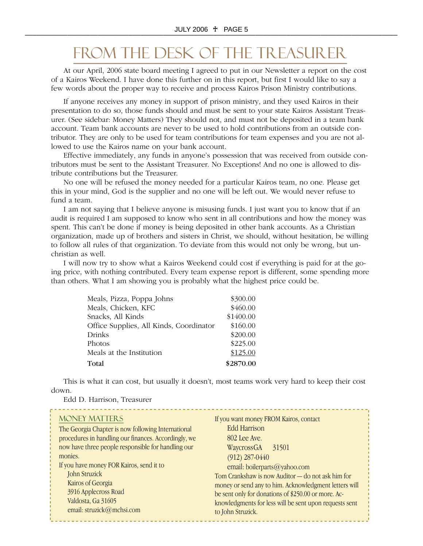# FROM THE DESK OF THE TREASURER

At our April, 2006 state board meeting I agreed to put in our Newsletter a report on the cost of a Kairos Weekend. I have done this further on in this report, but first I would like to say a few words about the proper way to receive and process Kairos Prison Ministry contributions.

If anyone receives any money in support of prison ministry, and they used Kairos in their presentation to do so, those funds should and must be sent to your state Kairos Assistant Treasurer. (See sidebar: Money Matters) They should not, and must not be deposited in a team bank account. Team bank accounts are never to be used to hold contributions from an outside contributor. They are only to be used for team contributions for team expenses and you are not allowed to use the Kairos name on your bank account.

Effective immediately, any funds in anyone's possession that was received from outside contributors must be sent to the Assistant Treasurer. No Exceptions! And no one is allowed to distribute contributions but the Treasurer.

No one will be refused the money needed for a particular Kairos team, no one. Please get this in your mind, God is the supplier and no one will be left out. We would never refuse to fund a team.

I am not saying that I believe anyone is misusing funds. I just want you to know that if an audit is required I am supposed to know who sent in all contributions and how the money was spent. This can't be done if money is being deposited in other bank accounts. As a Christian organization, made up of brothers and sisters in Christ, we should, without hesitation, be willing to follow all rules of that organization. To deviate from this would not only be wrong, but unchristian as well.

I will now try to show what a Kairos Weekend could cost if everything is paid for at the going price, with nothing contributed. Every team expense report is different, some spending more than others. What I am showing you is probably what the highest price could be.

| Meals, Pizza, Poppa Johns               | \$300.00  |
|-----------------------------------------|-----------|
| Meals, Chicken, KFC                     | \$460.00  |
| Snacks, All Kinds                       | \$1400.00 |
| Office Supplies, All Kinds, Coordinator | \$160.00  |
| Drinks                                  | \$200.00  |
| Photos                                  | \$225.00  |
| Meals at the Institution                | \$125.00  |
| Total                                   | \$2870.00 |

This is what it can cost, but usually it doesn't, most teams work very hard to keep their cost down.

Edd D. Harrison, Treasurer

| <b>MONEY MATTERS</b><br>The Georgia Chapter is now following International<br>procedures in handling our finances. Accordingly, we<br>now have three people responsible for handling our<br>monies.<br>If you have money FOR Kairos, send it to<br>John Struzick<br>Kairos of Georgia<br>3916 Applecross Road<br>Valdosta, Ga 31605<br>email: struzick@mchsi.com | If you want money FROM Kairos, contact<br>Edd Harrison<br>802 Lee Ave.<br>WaycrossGA<br>31501<br>$(912)$ 287-0440<br>email: boilerparts@yahoo.com<br>Tom Crankshaw is now Auditor - do not ask him for<br>money or send any to him. Acknowledgment letters will<br>be sent only for donations of \$250.00 or more. Ac-<br>knowledgments for less will be sent upon requests sent<br>to John Struzick. |
|------------------------------------------------------------------------------------------------------------------------------------------------------------------------------------------------------------------------------------------------------------------------------------------------------------------------------------------------------------------|-------------------------------------------------------------------------------------------------------------------------------------------------------------------------------------------------------------------------------------------------------------------------------------------------------------------------------------------------------------------------------------------------------|
|------------------------------------------------------------------------------------------------------------------------------------------------------------------------------------------------------------------------------------------------------------------------------------------------------------------------------------------------------------------|-------------------------------------------------------------------------------------------------------------------------------------------------------------------------------------------------------------------------------------------------------------------------------------------------------------------------------------------------------------------------------------------------------|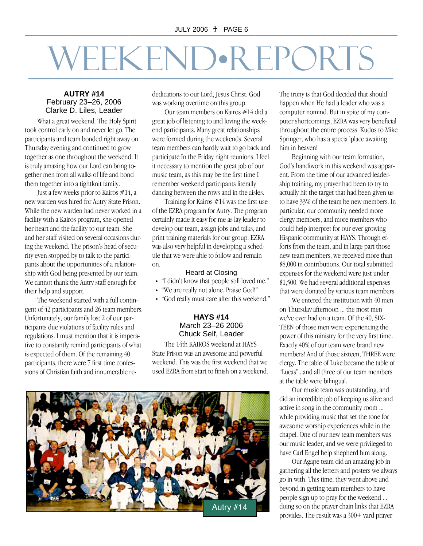# \_\_\_\_\_\_\_\_\_\_\_\_\_\_\_\_\_\_\_\_\_\_\_\_\_\_\_\_\_\_\_\_ WEEKEND•REPORTS

#### **AUTRY #14** February 23–26, 2006 Clarke D. Liles, Leader

What a great weekend. The Holy Spirit took control early on and never let go. The participants and team bonded right away on Thursday evening and continued to grow together as one throughout the weekend. It is truly amazing how our Lord can bring together men from all walks of life and bond them together into a tightknit family.

Just a few weeks prior to Kairos #14, a new warden was hired for Autry State Prison. While the new warden had never worked in a facility with a Kairos program, she opened her heart and the facility to our team. She and her staff visited on several occasions during the weekend. The prison's head of security even stopped by to talk to the participants about the opportunities of a relationship with God being presented by our team. We cannot thank the Autry staff enough for their help and support.

The weekend started with a full contingent of 42 participants and 26 team members. Unfortunately, our family lost 2 of our participants due violations of facility rules and regulations. I must mention that it is imperative to constantly remind participants of what is expected of them. Of the remaining 40 participants, there were 7 first time confessions of Christian faith and innumerable rededications to our Lord, Jesus Christ. God was working overtime on this group.

Our team members on Kairos #14 did a great job of listening to and loving the weekend participants. Many great relationships were formed during the weekends. Several team members can hardly wait to go back and participate In the Friday night reunions. I feel it necessary to mention the great job of our music team, as this may be the first time I remember weekend participants literally dancing between the rows and in the aisles.

Training for Kairos #14 was the first use of the EZRA program for Autry. The program certainly made it easy for me as lay leader to develop our team, assign jobs and talks, and print training materials for our group. EZRA was also very helpful in developing a schedule that we were able to follow and remain on.

#### Heard at Closing

- "I didn't know that people still loved me."
- "We are really not alone. Praise God!"
- "God really must care after this weekend."

#### **HAYS #14**  March 23–26 2006 Chuck Self, Leader

The 14th KAIROS weekend at HAYS State Prison was an awesome and powerful weekend. This was the first weekend that we used EZRA from start to finish on a weekend.



The irony is that God decided that should happen when He had a leader who was a computer nomind. But in spite of my computer shortcomings, EZRA was very beneficial throughout the entire process. Kudos to Mike Springer, who has a specia lplace awaiting him in heaven!

Beginning with our team formation, God's handiwork in this weekend was apparent. From the time of our advanced leadership training, my prayer had been to try to actually hit the target that had been given us to have 33% of the team be new members. In particular, our community needed more clergy members, and more members who could help interpret for our ever growing Hispanic community at HAYS. Through efforts from the team, and in large part those new team members, we received more than \$8,000 in contributions. Our total submitted expenses for the weekend were just under \$1,500. We had several additional expenses that were donated by various team members.

We entered the institution with 40 men on Thursday afternoon ... the most men we've ever had on a team. Of the 40, SIX-TEEN of those men were experiencing the power of this ministry for the very first time. Exactly 40% of our team were brand new members! And of those sixteen, THREE were clergy. The table of Luke became the table of "Lucas"...and all three of our team members at the table were bilingual.

Our music team was outstanding, and did an incredible job of keeping us alive and active in song in the community room ... while providing music that set the tone for awesome worship experiences while in the chapel. One of our new team members was our music leader, and we were privileged to have Carl Engel help shepherd him along.

Our Agape team did an amazing job in gathering all the letters and posters we always go in with. This time, they went above and beyond in getting team members to have people sign up to pray for the weekend ... doing so on the prayer chain links that EZRA provides. The result was a 300+ yard prayer